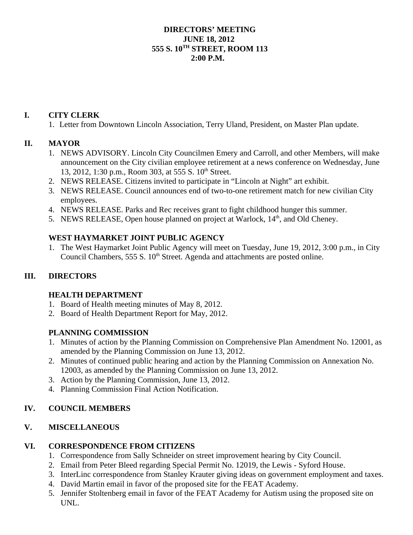#### **DIRECTORS' MEETING JUNE 18, 2012 555 S. 10TH STREET, ROOM 113 2:00 P.M.**

### **I. CITY CLERK**

1. Letter from Downtown Lincoln Association, Terry Uland, President, on Master Plan update.

# **II. MAYOR**

- 1. NEWS ADVISORY. Lincoln City Councilmen Emery and Carroll, and other Members, will make announcement on the City civilian employee retirement at a news conference on Wednesday, June 13, 2012, 1:30 p.m., Room 303, at 555 S. 10<sup>th</sup> Street.
- 2. NEWS RELEASE. Citizens invited to participate in "Lincoln at Night" art exhibit.
- 3. NEWS RELEASE. Council announces end of two-to-one retirement match for new civilian City employees.
- 4. NEWS RELEASE. Parks and Rec receives grant to fight childhood hunger this summer.
- 5. NEWS RELEASE, Open house planned on project at Warlock, 14<sup>th</sup>, and Old Cheney.

### **WEST HAYMARKET JOINT PUBLIC AGENCY**

1. The West Haymarket Joint Public Agency will meet on Tuesday, June 19, 2012, 3:00 p.m., in City Council Chambers,  $555 S. 10<sup>th</sup> Street$ . Agenda and attachments are posted online.

### **III. DIRECTORS**

### **HEALTH DEPARTMENT**

- 1. Board of Health meeting minutes of May 8, 2012.
- 2. Board of Health Department Report for May, 2012.

### **PLANNING COMMISSION**

- 1. Minutes of action by the Planning Commission on Comprehensive Plan Amendment No. 12001, as amended by the Planning Commission on June 13, 2012.
- 2. Minutes of continued public hearing and action by the Planning Commission on Annexation No. 12003, as amended by the Planning Commission on June 13, 2012.
- 3. Action by the Planning Commission, June 13, 2012.
- 4. Planning Commission Final Action Notification.

### **IV. COUNCIL MEMBERS**

### **V. MISCELLANEOUS**

### **VI. CORRESPONDENCE FROM CITIZENS**

- 1. Correspondence from Sally Schneider on street improvement hearing by City Council.
- 2. Email from Peter Bleed regarding Special Permit No. 12019, the Lewis Syford House.
- 3. InterLinc correspondence from Stanley Krauter giving ideas on government employment and taxes.
- 4. David Martin email in favor of the proposed site for the FEAT Academy.
- 5. Jennifer Stoltenberg email in favor of the FEAT Academy for Autism using the proposed site on UNL.